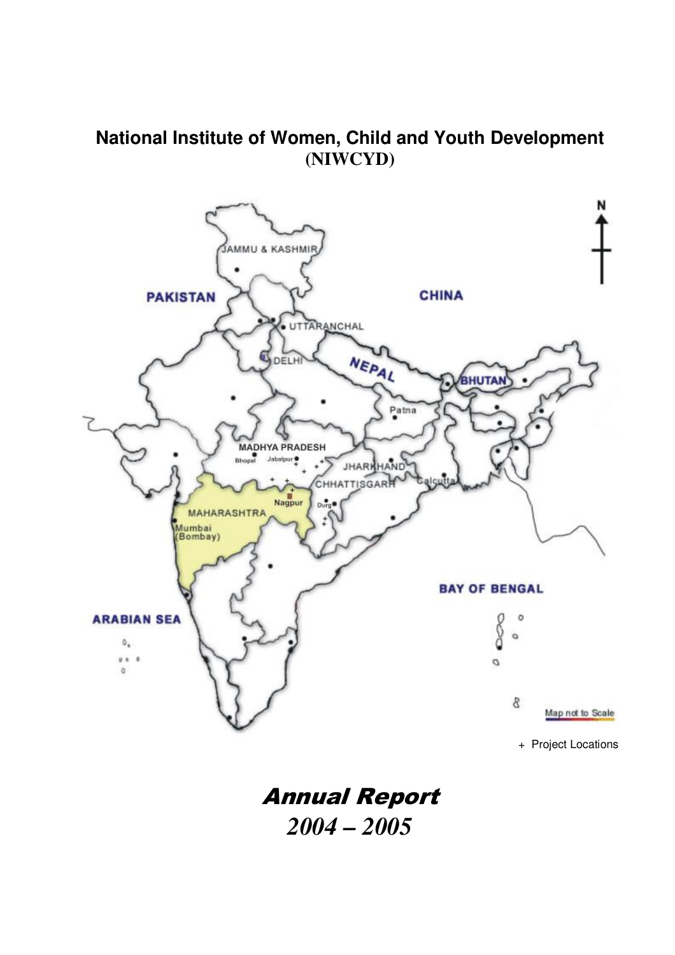# **National Institute of Women, Child and Youth Development (NIWCYD)**



Annual Report *2004 – 2005*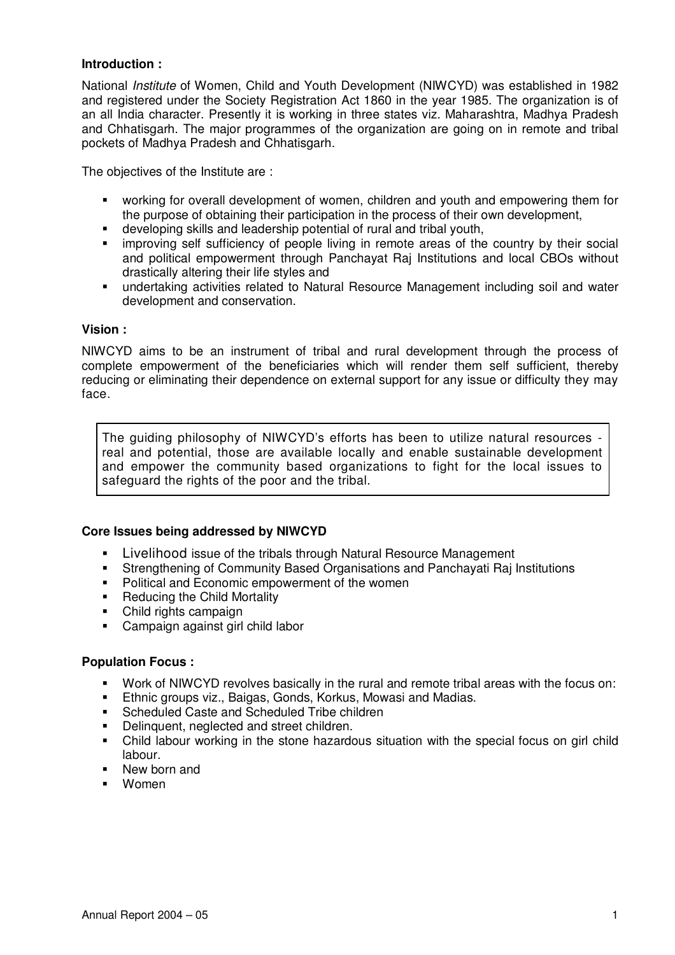#### **Introduction :**

National *Institute* of Women, Child and Youth Development (NIWCYD) was established in 1982 and registered under the Society Registration Act 1860 in the year 1985. The organization is of an all India character. Presently it is working in three states viz. Maharashtra, Madhya Pradesh and Chhatisgarh. The major programmes of the organization are going on in remote and tribal pockets of Madhya Pradesh and Chhatisgarh.

The objectives of the Institute are :

- working for overall development of women, children and youth and empowering them for the purpose of obtaining their participation in the process of their own development,
- developing skills and leadership potential of rural and tribal youth,
- improving self sufficiency of people living in remote areas of the country by their social and political empowerment through Panchayat Raj Institutions and local CBOs without drastically altering their life styles and
- undertaking activities related to Natural Resource Management including soil and water development and conservation.

#### **Vision :**

NIWCYD aims to be an instrument of tribal and rural development through the process of complete empowerment of the beneficiaries which will render them self sufficient, thereby reducing or eliminating their dependence on external support for any issue or difficulty they may face.

The guiding philosophy of NIWCYD's efforts has been to utilize natural resources real and potential, those are available locally and enable sustainable development and empower the community based organizations to fight for the local issues to safeguard the rights of the poor and the tribal.

## **Core Issues being addressed by NIWCYD**

- Livelihood issue of the tribals through Natural Resource Management<br>Extremathening of Community Rased Organisations and Panchavati Rail
- Strengthening of Community Based Organisations and Panchayati Raj Institutions
- **Political and Economic empowerment of the women**
- Reducing the Child Mortality
- Child rights campaign
- Campaign against girl child labor

#### **Population Focus :**

- Work of NIWCYD revolves basically in the rural and remote tribal areas with the focus on:
- **Ethnic groups viz., Baigas, Gonds, Korkus, Mowasi and Madias.**
- **Scheduled Caste and Scheduled Tribe children**
- Delinquent, neglected and street children.
- Child labour working in the stone hazardous situation with the special focus on girl child labour.
- New born and
- Women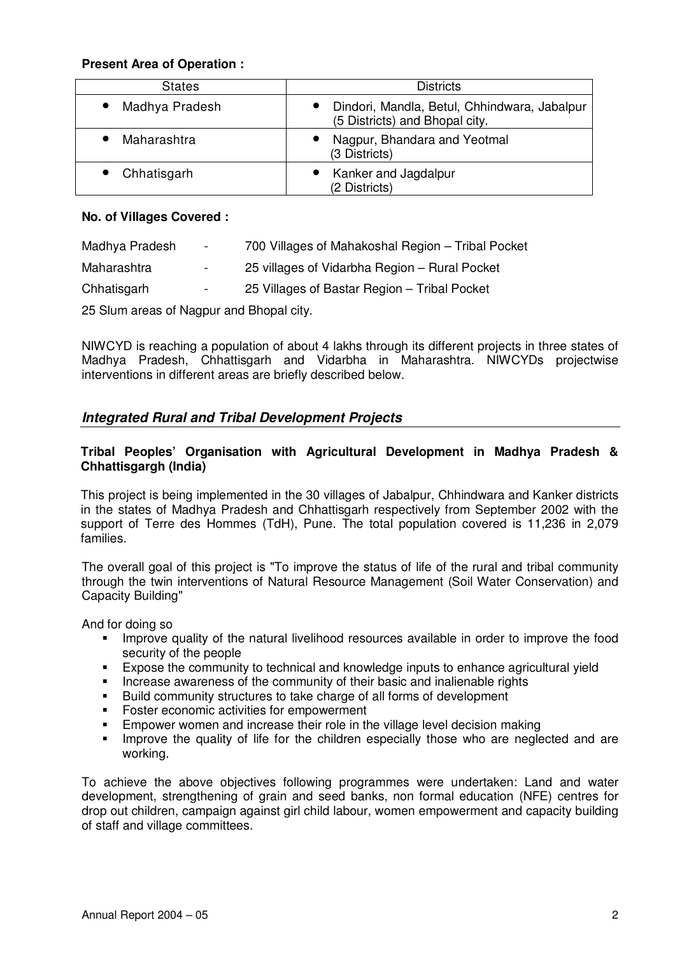## **Present Area of Operation :**

| <b>States</b>  | <b>Districts</b>                                                                            |  |  |
|----------------|---------------------------------------------------------------------------------------------|--|--|
| Madhya Pradesh | Dindori, Mandla, Betul, Chhindwara, Jabalpur<br>$\bullet$<br>(5 Districts) and Bhopal city. |  |  |
| Maharashtra    | Nagpur, Bhandara and Yeotmal<br>$\bullet$<br>(3 Districts)                                  |  |  |
| Chhatisgarh    | Kanker and Jagdalpur<br>(2 Districts)                                                       |  |  |

## **No. of Villages Covered :**

| Madhya Pradesh                           | $\sim 100$ | 700 Villages of Mahakoshal Region - Tribal Pocket |  |  |  |  |
|------------------------------------------|------------|---------------------------------------------------|--|--|--|--|
| Maharashtra                              | $\sim 100$ | 25 villages of Vidarbha Region - Rural Pocket     |  |  |  |  |
| Chhatisgarh                              | $\sim 100$ | 25 Villages of Bastar Region – Tribal Pocket      |  |  |  |  |
| 25 Slum areas of Nagpur and Bhopal city. |            |                                                   |  |  |  |  |

NIWCYD is reaching a population of about 4 lakhs through its different projects in three states of Madhya Pradesh, Chhattisgarh and Vidarbha in Maharashtra. NIWCYDs projectwise interventions in different areas are briefly described below.

# *Integrated Rural and Tribal Development Projects*

## **Tribal Peoples' Organisation with Agricultural Development in Madhya Pradesh & Chhattisgargh (India)**

This project is being implemented in the 30 villages of Jabalpur, Chhindwara and Kanker districts in the states of Madhya Pradesh and Chhattisgarh respectively from September 2002 with the support of Terre des Hommes (TdH), Pune. The total population covered is 11,236 in 2,079 families.

The overall goal of this project is "To improve the status of life of the rural and tribal community through the twin interventions of Natural Resource Management (Soil Water Conservation) and Capacity Building"

And for doing so

- **IMPROVE QUALITY OF the natural livelihood resources available in order to improve the food** security of the people
- Expose the community to technical and knowledge inputs to enhance agricultural yield
- Increase awareness of the community of their basic and inalienable rights<br> **Build community structures to take charge of all forms of development**
- Build community structures to take charge of all forms of development
- **Foster economic activities for empowerment**
- **Empower women and increase their role in the village level decision making**
- **IMPROVE the quality of life for the children especially those who are neglected and are** working.

To achieve the above objectives following programmes were undertaken: Land and water development, strengthening of grain and seed banks, non formal education (NFE) centres for drop out children, campaign against girl child labour, women empowerment and capacity building of staff and village committees.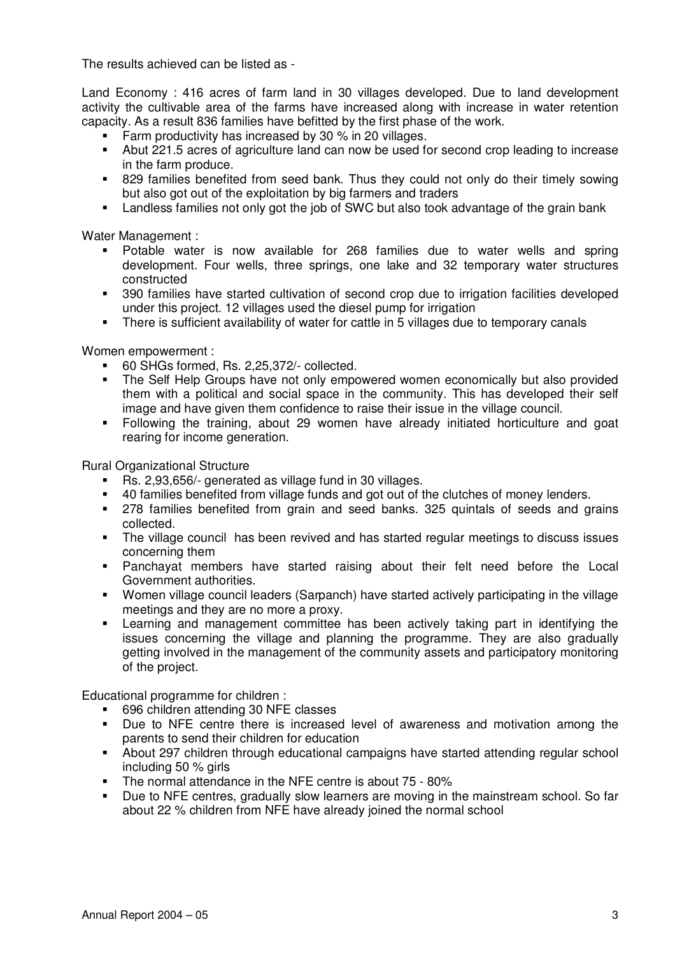The results achieved can be listed as -

Land Economy : 416 acres of farm land in 30 villages developed. Due to land development activity the cultivable area of the farms have increased along with increase in water retention capacity. As a result 836 families have befitted by the first phase of the work.

- **Farm productivity has increased by 30 % in 20 villages.**
- Abut 221.5 acres of agriculture land can now be used for second crop leading to increase in the farm produce.
- 829 families benefited from seed bank. Thus they could not only do their timely sowing but also got out of the exploitation by big farmers and traders
- Landless families not only got the job of SWC but also took advantage of the grain bank

Water Management :

- Potable water is now available for 268 families due to water wells and spring development. Four wells, three springs, one lake and 32 temporary water structures constructed
- 390 families have started cultivation of second crop due to irrigation facilities developed under this project. 12 villages used the diesel pump for irrigation
- There is sufficient availability of water for cattle in 5 villages due to temporary canals

Women empowerment :

- 60 SHGs formed, Rs. 2,25,372/- collected.
- The Self Help Groups have not only empowered women economically but also provided them with a political and social space in the community. This has developed their self image and have given them confidence to raise their issue in the village council.
- Following the training, about 29 women have already initiated horticulture and goat rearing for income generation.

Rural Organizational Structure

- Rs. 2,93,656/- generated as village fund in 30 villages.
- 40 families benefited from village funds and got out of the clutches of money lenders.<br>278 families benefited from grain and seed banks. 325 quintals of seeds and grain
- 278 families benefited from grain and seed banks. 325 quintals of seeds and grains collected.
- The village council has been revived and has started regular meetings to discuss issues concerning them
- Panchayat members have started raising about their felt need before the Local Government authorities.
- Women village council leaders (Sarpanch) have started actively participating in the village meetings and they are no more a proxy.
- Learning and management committee has been actively taking part in identifying the issues concerning the village and planning the programme. They are also gradually getting involved in the management of the community assets and participatory monitoring of the project.

Educational programme for children :

- 696 children attending 30 NFE classes
- Due to NFE centre there is increased level of awareness and motivation among the parents to send their children for education
- About 297 children through educational campaigns have started attending regular school including 50 % girls
- The normal attendance in the NFE centre is about 75 80%
- Due to NFE centres, gradually slow learners are moving in the mainstream school. So far about 22 % children from NFE have already joined the normal school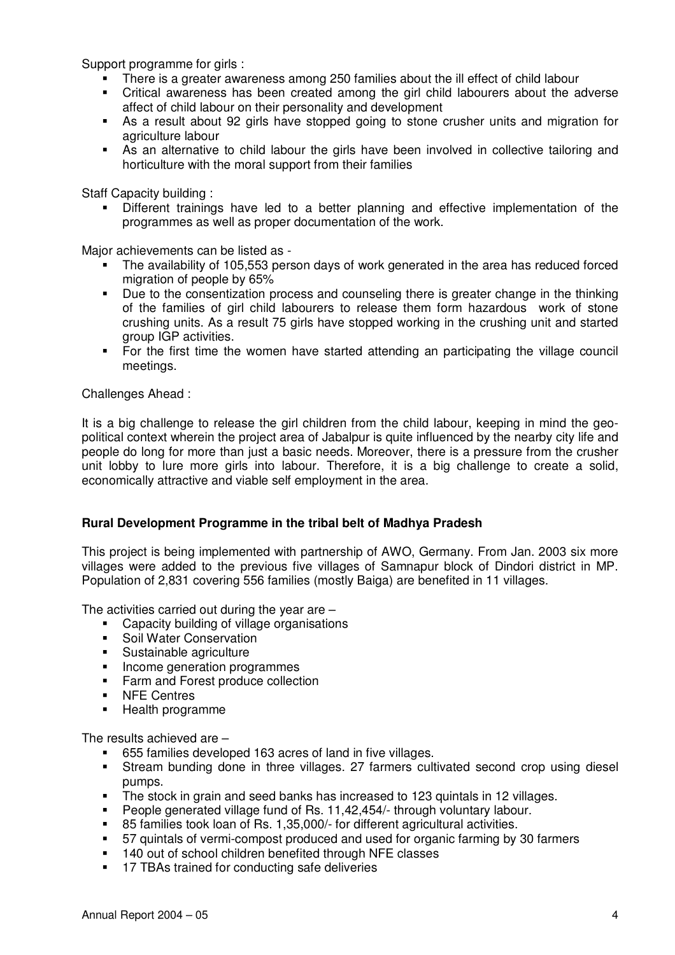Support programme for girls :

- There is a greater awareness among 250 families about the ill effect of child labour
- Critical awareness has been created among the girl child labourers about the adverse affect of child labour on their personality and development
- As a result about 92 girls have stopped going to stone crusher units and migration for agriculture labour
- As an alternative to child labour the girls have been involved in collective tailoring and horticulture with the moral support from their families

Staff Capacity building :

 Different trainings have led to a better planning and effective implementation of the programmes as well as proper documentation of the work.

Major achievements can be listed as -

- The availability of 105,553 person days of work generated in the area has reduced forced migration of people by 65%
- Due to the consentization process and counseling there is greater change in the thinking of the families of girl child labourers to release them form hazardous work of stone crushing units. As a result 75 girls have stopped working in the crushing unit and started group IGP activities.
- For the first time the women have started attending an participating the village council meetings.

Challenges Ahead :

It is a big challenge to release the girl children from the child labour, keeping in mind the geopolitical context wherein the project area of Jabalpur is quite influenced by the nearby city life and people do long for more than just a basic needs. Moreover, there is a pressure from the crusher unit lobby to lure more girls into labour. Therefore, it is a big challenge to create a solid, economically attractive and viable self employment in the area.

## **Rural Development Programme in the tribal belt of Madhya Pradesh**

This project is being implemented with partnership of AWO, Germany. From Jan. 2003 six more villages were added to the previous five villages of Samnapur block of Dindori district in MP. Population of 2,831 covering 556 families (mostly Baiga) are benefited in 11 villages.

The activities carried out during the year are –

- Capacity building of village organisations
- Soil Water Conservation
- Sustainable agriculture
- Income generation programmes
- Farm and Forest produce collection
- **NFE Centres**
- **Health programme**

The results achieved are –

- 655 families developed 163 acres of land in five villages.
- Stream bunding done in three villages. 27 farmers cultivated second crop using diesel pumps.
- The stock in grain and seed banks has increased to 123 quintals in 12 villages.
- **People generated village fund of Rs. 11,42,454/- through voluntary labour.**
- 85 families took loan of Rs. 1,35,000/- for different agricultural activities.
- 57 quintals of vermi-compost produced and used for organic farming by 30 farmers
- 140 out of school children benefited through NFE classes
- **17 TBAs trained for conducting safe deliveries**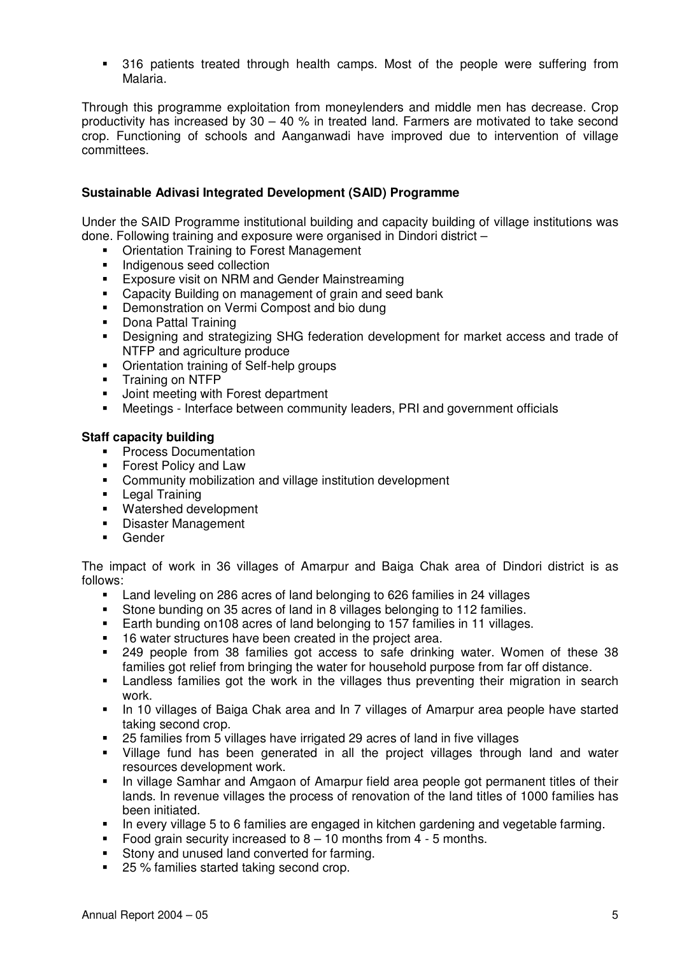316 patients treated through health camps. Most of the people were suffering from Malaria.

Through this programme exploitation from moneylenders and middle men has decrease. Crop productivity has increased by  $30 - 40$  % in treated land. Farmers are motivated to take second crop. Functioning of schools and Aanganwadi have improved due to intervention of village committees.

## **Sustainable Adivasi Integrated Development (SAID) Programme**

Under the SAID Programme institutional building and capacity building of village institutions was done. Following training and exposure were organised in Dindori district –

- **Orientation Training to Forest Management**
- **Indigenous seed collection**<br>**Exposure visit on NBM and**
- Exposure visit on NRM and Gender Mainstreaming
- Capacity Building on management of grain and seed bank
- **Demonstration on Vermi Compost and bio dung**
- **•** Dona Pattal Training
- Designing and strategizing SHG federation development for market access and trade of NTFP and agriculture produce
- Orientation training of Self-help groups
- **Training on NTFP**
- **Joint meeting with Forest department**
- Meetings Interface between community leaders, PRI and government officials

#### **Staff capacity building**

- **•** Process Documentation
- Forest Policy and Law
- Community mobilization and village institution development
- **Legal Training**
- Watershed development
- **Disaster Management**
- **Gender**

The impact of work in 36 villages of Amarpur and Baiga Chak area of Dindori district is as follows:

- Land leveling on 286 acres of land belonging to 626 families in 24 villages
- Stone bunding on 35 acres of land in 8 villages belonging to 112 families.<br>Earth bunding on 108 acres of land belonging to 157 families in 11 villages
- Earth bunding on108 acres of land belonging to 157 families in 11 villages.
- **16 water structures have been created in the project area.**
- 249 people from 38 families got access to safe drinking water. Women of these 38 families got relief from bringing the water for household purpose from far off distance.
- Landless families got the work in the villages thus preventing their migration in search work.
- In 10 villages of Baiga Chak area and In 7 villages of Amarpur area people have started taking second crop.
- 25 families from 5 villages have irrigated 29 acres of land in five villages
- Village fund has been generated in all the project villages through land and water resources development work.
- In village Samhar and Amgaon of Amarpur field area people got permanent titles of their lands. In revenue villages the process of renovation of the land titles of 1000 families has been initiated.
- In every village 5 to 6 families are engaged in kitchen gardening and vegetable farming.
- Food grain security increased to  $8 10$  months from  $4 5$  months.
- Stony and unused land converted for farming.
- 25 % families started taking second crop.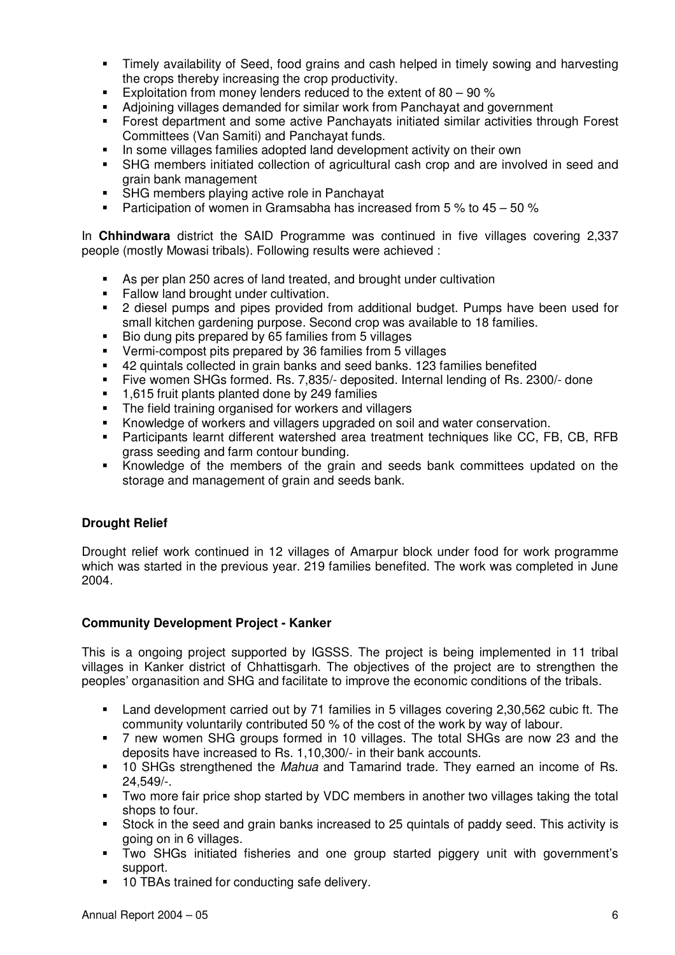- Timely availability of Seed, food grains and cash helped in timely sowing and harvesting the crops thereby increasing the crop productivity.
- Exploitation from money lenders reduced to the extent of  $80 90$  %
- Adjoining villages demanded for similar work from Panchayat and government
- Forest department and some active Panchayats initiated similar activities through Forest Committees (Van Samiti) and Panchayat funds.
- In some villages families adopted land development activity on their own
- SHG members initiated collection of agricultural cash crop and are involved in seed and grain bank management
- SHG members playing active role in Panchayat
- **Participation of women in Gramsabha has increased from 5 % to 45 50 %**

In **Chhindwara** district the SAID Programme was continued in five villages covering 2,337 people (mostly Mowasi tribals). Following results were achieved :

- As per plan 250 acres of land treated, and brought under cultivation
- Fallow land brought under cultivation.<br>• 2 diesel numns and nines provided f
- 2 diesel pumps and pipes provided from additional budget. Pumps have been used for small kitchen gardening purpose. Second crop was available to 18 families.
- Bio dung pits prepared by 65 families from 5 villages
- Vermi-compost pits prepared by 36 families from 5 villages
- 42 quintals collected in grain banks and seed banks. 123 families benefited
- Five women SHGs formed. Rs. 7,835/- deposited. Internal lending of Rs. 2300/- done
- 1,615 fruit plants planted done by 249 families
- The field training organised for workers and villagers
- Knowledge of workers and villagers upgraded on soil and water conservation.
- Participants learnt different watershed area treatment techniques like CC, FB, CB, RFB grass seeding and farm contour bunding.
- Knowledge of the members of the grain and seeds bank committees updated on the storage and management of grain and seeds bank.

# **Drought Relief**

Drought relief work continued in 12 villages of Amarpur block under food for work programme which was started in the previous year. 219 families benefited. The work was completed in June 2004.

## **Community Development Project - Kanker**

This is a ongoing project supported by IGSSS. The project is being implemented in 11 tribal villages in Kanker district of Chhattisgarh. The objectives of the project are to strengthen the peoples' organasition and SHG and facilitate to improve the economic conditions of the tribals.

- Land development carried out by 71 families in 5 villages covering 2,30,562 cubic ft. The community voluntarily contributed 50 % of the cost of the work by way of labour.
- 7 new women SHG groups formed in 10 villages. The total SHGs are now 23 and the deposits have increased to Rs. 1,10,300/- in their bank accounts.
- 10 SHGs strengthened the *Mahua* and Tamarind trade. They earned an income of Rs. 24,549/-.
- Two more fair price shop started by VDC members in another two villages taking the total shops to four.
- Stock in the seed and grain banks increased to 25 quintals of paddy seed. This activity is going on in 6 villages.
- Two SHGs initiated fisheries and one group started piggery unit with government's support.
- **10 TBAs trained for conducting safe delivery.**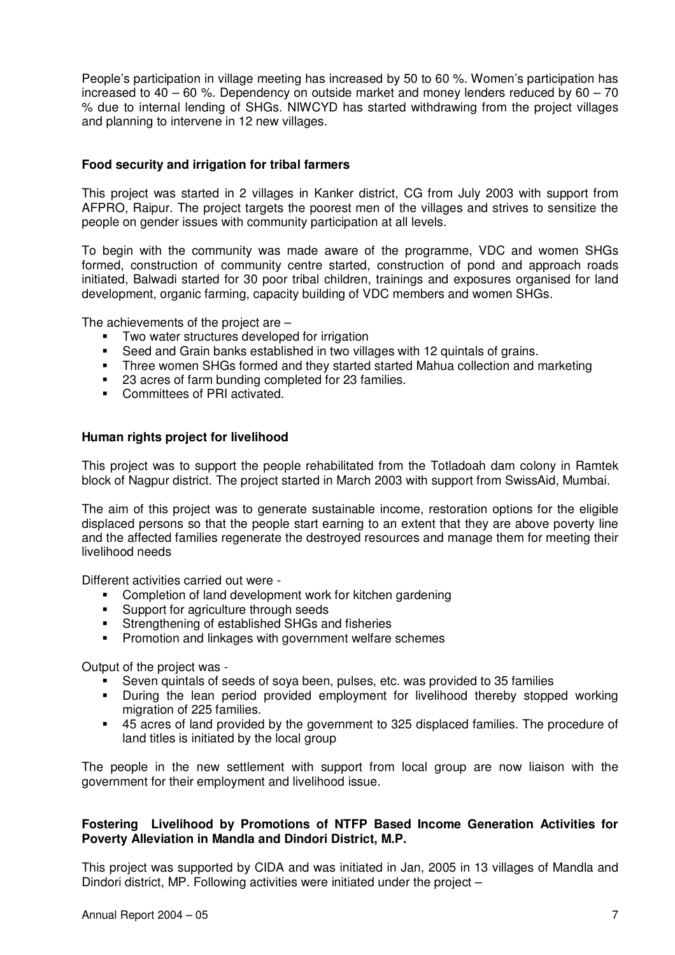People's participation in village meeting has increased by 50 to 60 %. Women's participation has increased to  $40 - 60$  %. Dependency on outside market and money lenders reduced by  $60 - 70$ % due to internal lending of SHGs. NIWCYD has started withdrawing from the project villages and planning to intervene in 12 new villages.

#### **Food security and irrigation for tribal farmers**

This project was started in 2 villages in Kanker district, CG from July 2003 with support from AFPRO, Raipur. The project targets the poorest men of the villages and strives to sensitize the people on gender issues with community participation at all levels.

To begin with the community was made aware of the programme, VDC and women SHGs formed, construction of community centre started, construction of pond and approach roads initiated, Balwadi started for 30 poor tribal children, trainings and exposures organised for land development, organic farming, capacity building of VDC members and women SHGs.

The achievements of the project are –

- **Two water structures developed for irrigation**
- Seed and Grain banks established in two villages with 12 quintals of grains.
- Three women SHGs formed and they started started Mahua collection and marketing
- 23 acres of farm bunding completed for 23 families.
- **Committees of PRI activated.**

#### **Human rights project for livelihood**

This project was to support the people rehabilitated from the Totladoah dam colony in Ramtek block of Nagpur district. The project started in March 2003 with support from SwissAid, Mumbai.

The aim of this project was to generate sustainable income, restoration options for the eligible displaced persons so that the people start earning to an extent that they are above poverty line and the affected families regenerate the destroyed resources and manage them for meeting their livelihood needs

Different activities carried out were -

- **•** Completion of land development work for kitchen gardening
- **Support for agriculture through seeds**
- **Strengthening of established SHGs and fisheries**
- **Promotion and linkages with government welfare schemes**

Output of the project was -

- Seven quintals of seeds of soya been, pulses, etc. was provided to 35 families
- During the lean period provided employment for livelihood thereby stopped working migration of 225 families.
- 45 acres of land provided by the government to 325 displaced families. The procedure of land titles is initiated by the local group

The people in the new settlement with support from local group are now liaison with the government for their employment and livelihood issue.

#### **Fostering Livelihood by Promotions of NTFP Based Income Generation Activities for Poverty Alleviation in Mandla and Dindori District, M.P.**

This project was supported by CIDA and was initiated in Jan, 2005 in 13 villages of Mandla and Dindori district, MP. Following activities were initiated under the project –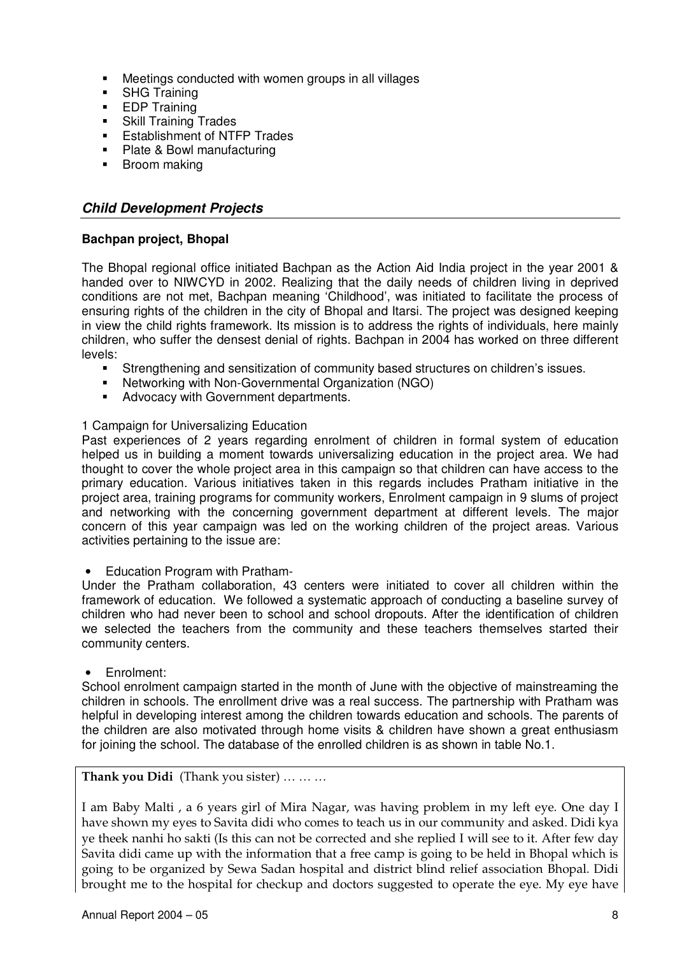- **Meetings conducted with women groups in all villages**<br>**EXAC Training**
- SHG Training
- **EDP Training**
- **Skill Training Trades**
- **Establishment of NTFP Trades**
- Plate & Bowl manufacturing
- **Broom making**

# *Child Development Projects*

## **Bachpan project, Bhopal**

The Bhopal regional office initiated Bachpan as the Action Aid India project in the year 2001 & handed over to NIWCYD in 2002. Realizing that the daily needs of children living in deprived conditions are not met, Bachpan meaning 'Childhood', was initiated to facilitate the process of ensuring rights of the children in the city of Bhopal and Itarsi. The project was designed keeping in view the child rights framework. Its mission is to address the rights of individuals, here mainly children, who suffer the densest denial of rights. Bachpan in 2004 has worked on three different levels:

- Strengthening and sensitization of community based structures on children's issues.
- Networking with Non-Governmental Organization (NGO)
- **Advocacy with Government departments.**

## 1 Campaign for Universalizing Education

Past experiences of 2 years regarding enrolment of children in formal system of education helped us in building a moment towards universalizing education in the project area. We had thought to cover the whole project area in this campaign so that children can have access to the primary education. Various initiatives taken in this regards includes Pratham initiative in the project area, training programs for community workers, Enrolment campaign in 9 slums of project and networking with the concerning government department at different levels. The major concern of this year campaign was led on the working children of the project areas. Various activities pertaining to the issue are:

• Education Program with Pratham-

Under the Pratham collaboration, 43 centers were initiated to cover all children within the framework of education. We followed a systematic approach of conducting a baseline survey of children who had never been to school and school dropouts. After the identification of children we selected the teachers from the community and these teachers themselves started their community centers.

• Enrolment:

School enrolment campaign started in the month of June with the objective of mainstreaming the children in schools. The enrollment drive was a real success. The partnership with Pratham was helpful in developing interest among the children towards education and schools. The parents of the children are also motivated through home visits & children have shown a great enthusiasm for joining the school. The database of the enrolled children is as shown in table No.1.

## **Thank you Didi** (Thank you sister) … … …

I am Baby Malti , a 6 years girl of Mira Nagar, was having problem in my left eye. One day I have shown my eyes to Savita didi who comes to teach us in our community and asked. Didi kya ye theek nanhi ho sakti (Is this can not be corrected and she replied I will see to it. After few day Savita didi came up with the information that a free camp is going to be held in Bhopal which is going to be organized by Sewa Sadan hospital and district blind relief association Bhopal. Didi brought me to the hospital for checkup and doctors suggested to operate the eye. My eye have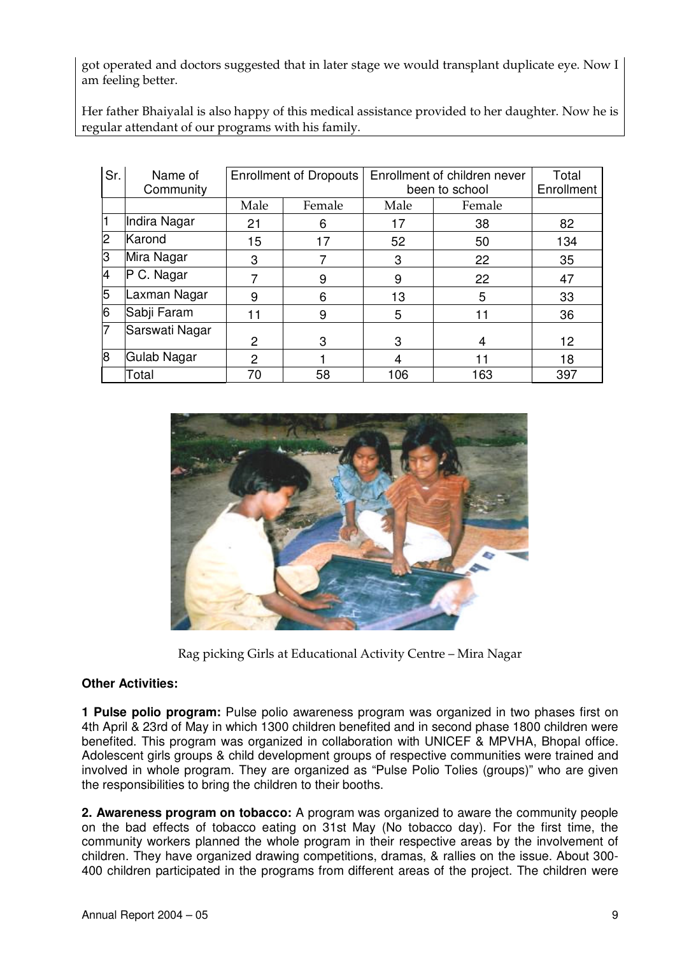got operated and doctors suggested that in later stage we would transplant duplicate eye. Now I am feeling better.

Her father Bhaiyalal is also happy of this medical assistance provided to her daughter. Now he is regular attendant of our programs with his family.

| Sr.            | Name of<br>Community | <b>Enrollment of Dropouts</b> |        | Enrollment of children never<br>been to school |        | Total<br>Enrollment |
|----------------|----------------------|-------------------------------|--------|------------------------------------------------|--------|---------------------|
|                |                      | Male                          | Female | Male                                           | Female |                     |
| l1             | Indira Nagar         | 21                            | 6      | 17                                             | 38     | 82                  |
| 2              | Karond               | 15                            | 17     | 52                                             | 50     | 134                 |
| lЗ             | Mira Nagar           | 3                             |        | 3                                              | 22     | 35                  |
| $\overline{4}$ | P C. Nagar           |                               | 9      | 9                                              | 22     | 47                  |
| 5              | Laxman Nagar         | 9                             | 6      | 13                                             | 5      | 33                  |
| 6              | Sabji Faram          | -1                            | 9      | 5                                              |        | 36                  |
| 17             | Sarswati Nagar       | 2                             | 3      | 3                                              | 4      | 12                  |
| 8l             | Gulab Nagar          | 2                             |        | 4                                              | 11     | 18                  |
|                | Total                | 70                            | 58     | 106                                            | 163    | 397                 |



Rag picking Girls at Educational Activity Centre – Mira Nagar

## **Other Activities:**

**1 Pulse polio program:** Pulse polio awareness program was organized in two phases first on 4th April & 23rd of May in which 1300 children benefited and in second phase 1800 children were benefited. This program was organized in collaboration with UNICEF & MPVHA, Bhopal office. Adolescent girls groups & child development groups of respective communities were trained and involved in whole program. They are organized as "Pulse Polio Tolies (groups)" who are given the responsibilities to bring the children to their booths.

**2. Awareness program on tobacco:** A program was organized to aware the community people on the bad effects of tobacco eating on 31st May (No tobacco day). For the first time, the community workers planned the whole program in their respective areas by the involvement of children. They have organized drawing competitions, dramas, & rallies on the issue. About 300- 400 children participated in the programs from different areas of the project. The children were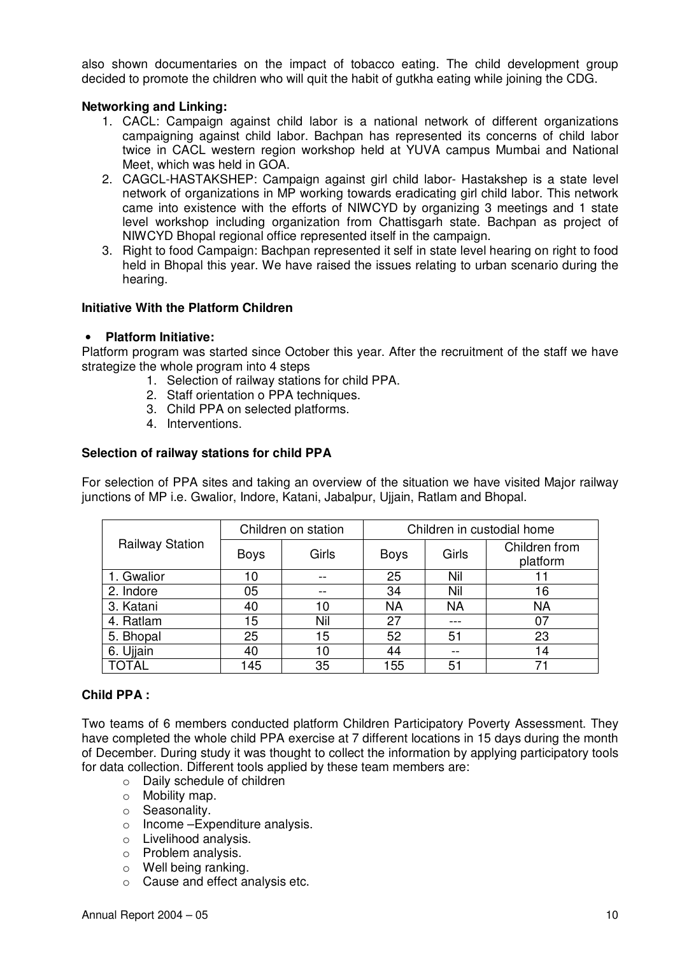also shown documentaries on the impact of tobacco eating. The child development group decided to promote the children who will quit the habit of gutkha eating while joining the CDG.

## **Networking and Linking:**

- 1. CACL: Campaign against child labor is a national network of different organizations campaigning against child labor. Bachpan has represented its concerns of child labor twice in CACL western region workshop held at YUVA campus Mumbai and National Meet, which was held in GOA.
- 2. CAGCL-HASTAKSHEP: Campaign against girl child labor- Hastakshep is a state level network of organizations in MP working towards eradicating girl child labor. This network came into existence with the efforts of NIWCYD by organizing 3 meetings and 1 state level workshop including organization from Chattisgarh state. Bachpan as project of NIWCYD Bhopal regional office represented itself in the campaign.
- 3. Right to food Campaign: Bachpan represented it self in state level hearing on right to food held in Bhopal this year. We have raised the issues relating to urban scenario during the hearing.

#### **Initiative With the Platform Children**

#### • **Platform Initiative:**

Platform program was started since October this year. After the recruitment of the staff we have strategize the whole program into 4 steps

- 1. Selection of railway stations for child PPA.
- 2. Staff orientation o PPA techniques.
- 3. Child PPA on selected platforms.
- 4. Interventions.

#### **Selection of railway stations for child PPA**

For selection of PPA sites and taking an overview of the situation we have visited Major railway junctions of MP i.e. Gwalior, Indore, Katani, Jabalpur, Ujjain, Ratlam and Bhopal.

| <b>Railway Station</b> | Children on station |       | Children in custodial home |           |                           |
|------------------------|---------------------|-------|----------------------------|-----------|---------------------------|
|                        | <b>Boys</b>         | Girls | <b>Boys</b>                | Girls     | Children from<br>platform |
| 1. Gwalior             | 10                  | --    | 25                         | Nil       |                           |
| 2. Indore              | 05                  |       | 34                         | Nil       | 16                        |
| 3. Katani              | 40                  | 10    | NA                         | <b>NA</b> | <b>NA</b>                 |
| 4. Ratlam              | 15                  | Nil   | 27                         |           | 07                        |
| 5. Bhopal              | 25                  | 15    | 52                         | 51        | 23                        |
| 6. Ujjain              | 40                  | 10    | 44                         |           | 14                        |
| TOTAL                  | 145                 | 35    | 155                        | 51        | 71                        |

## **Child PPA :**

Two teams of 6 members conducted platform Children Participatory Poverty Assessment. They have completed the whole child PPA exercise at 7 different locations in 15 days during the month of December. During study it was thought to collect the information by applying participatory tools for data collection. Different tools applied by these team members are:

- o Daily schedule of children
- o Mobility map.
- o Seasonality.
- o Income –Expenditure analysis.
- o Livelihood analysis.
- o Problem analysis.
- o Well being ranking.
- o Cause and effect analysis etc.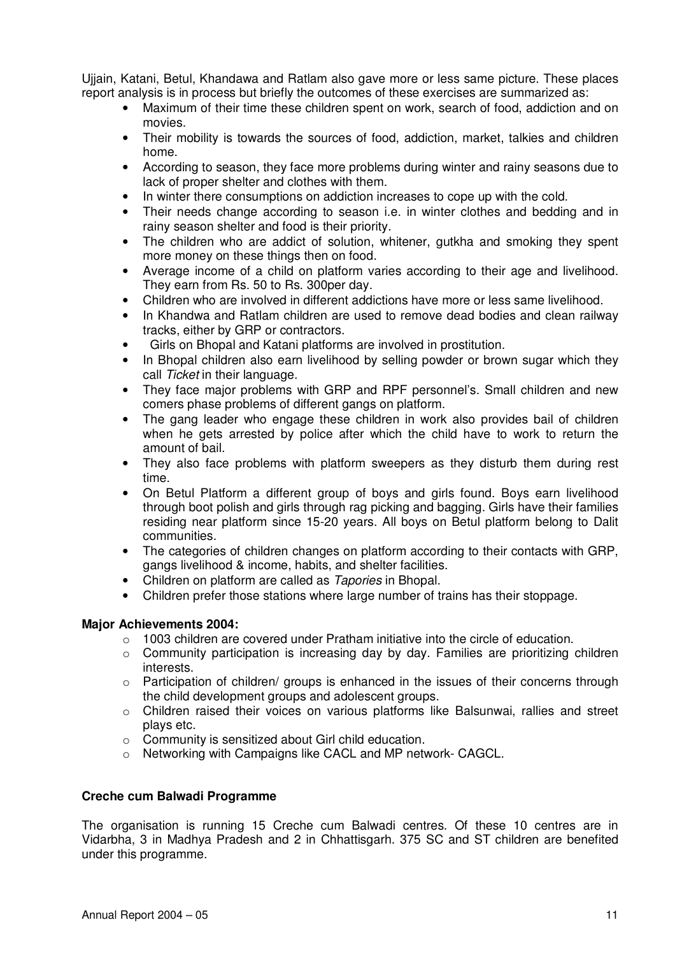Ujjain, Katani, Betul, Khandawa and Ratlam also gave more or less same picture. These places report analysis is in process but briefly the outcomes of these exercises are summarized as:

- Maximum of their time these children spent on work, search of food, addiction and on movies.
- Their mobility is towards the sources of food, addiction, market, talkies and children home.
- According to season, they face more problems during winter and rainy seasons due to lack of proper shelter and clothes with them.
- In winter there consumptions on addiction increases to cope up with the cold.
- Their needs change according to season i.e. in winter clothes and bedding and in rainy season shelter and food is their priority.
- The children who are addict of solution, whitener, gutkha and smoking they spent more money on these things then on food.
- Average income of a child on platform varies according to their age and livelihood. They earn from Rs. 50 to Rs. 300per day.
- Children who are involved in different addictions have more or less same livelihood.
- In Khandwa and Ratlam children are used to remove dead bodies and clean railway tracks, either by GRP or contractors.
- Girls on Bhopal and Katani platforms are involved in prostitution.
- In Bhopal children also earn livelihood by selling powder or brown sugar which they call *Ticket* in their language.
- They face major problems with GRP and RPF personnel's. Small children and new comers phase problems of different gangs on platform.
- The gang leader who engage these children in work also provides bail of children when he gets arrested by police after which the child have to work to return the amount of bail.
- They also face problems with platform sweepers as they disturb them during rest time.
- On Betul Platform a different group of boys and girls found. Boys earn livelihood through boot polish and girls through rag picking and bagging. Girls have their families residing near platform since 15-20 years. All boys on Betul platform belong to Dalit communities.
- The categories of children changes on platform according to their contacts with GRP, gangs livelihood & income, habits, and shelter facilities.
- Children on platform are called as *Tapories* in Bhopal.
- Children prefer those stations where large number of trains has their stoppage.

## **Major Achievements 2004:**

- $\circ$  1003 children are covered under Pratham initiative into the circle of education.
- $\circ$  Community participation is increasing day by day. Families are prioritizing children interests.
- $\circ$  Participation of children/ groups is enhanced in the issues of their concerns through the child development groups and adolescent groups.
- o Children raised their voices on various platforms like Balsunwai, rallies and street plays etc.
- o Community is sensitized about Girl child education.
- o Networking with Campaigns like CACL and MP network- CAGCL.

## **Creche cum Balwadi Programme**

The organisation is running 15 Creche cum Balwadi centres. Of these 10 centres are in Vidarbha, 3 in Madhya Pradesh and 2 in Chhattisgarh. 375 SC and ST children are benefited under this programme.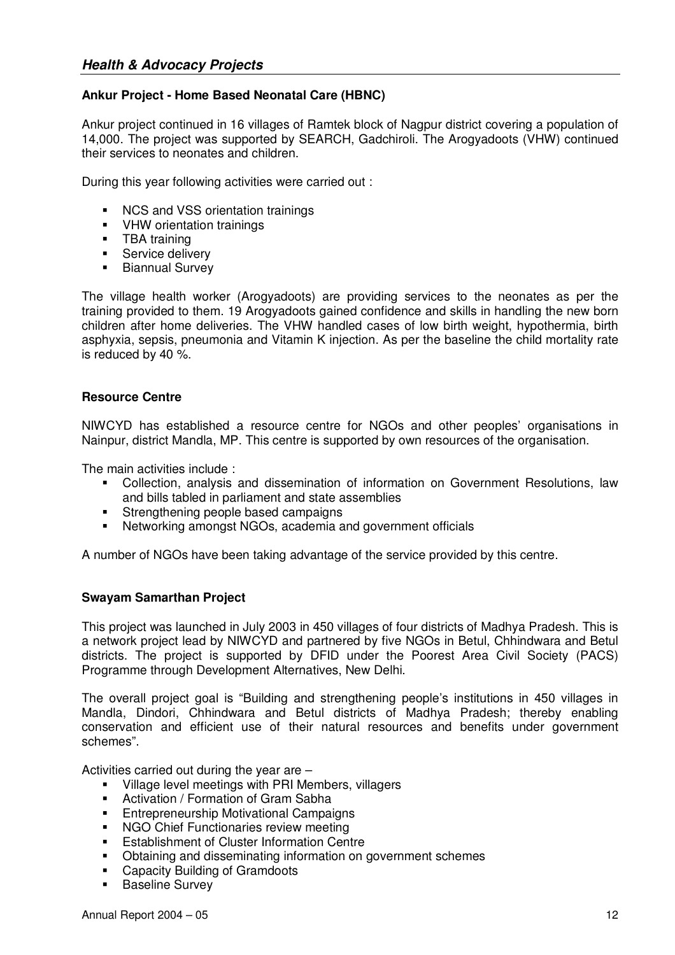# **Ankur Project - Home Based Neonatal Care (HBNC)**

Ankur project continued in 16 villages of Ramtek block of Nagpur district covering a population of 14,000. The project was supported by SEARCH, Gadchiroli. The Arogyadoots (VHW) continued their services to neonates and children.

During this year following activities were carried out :

- **NCS and VSS orientation trainings**
- **•** VHW orientation trainings
- **TBA** training
- **Service delivery**
- **Biannual Survey**

The village health worker (Arogyadoots) are providing services to the neonates as per the training provided to them. 19 Arogyadoots gained confidence and skills in handling the new born children after home deliveries. The VHW handled cases of low birth weight, hypothermia, birth asphyxia, sepsis, pneumonia and Vitamin K injection. As per the baseline the child mortality rate is reduced by 40 %.

## **Resource Centre**

NIWCYD has established a resource centre for NGOs and other peoples' organisations in Nainpur, district Mandla, MP. This centre is supported by own resources of the organisation.

The main activities include :

- Collection, analysis and dissemination of information on Government Resolutions, law and bills tabled in parliament and state assemblies
- **Strengthening people based campaigns**
- Networking amongst NGOs, academia and government officials

A number of NGOs have been taking advantage of the service provided by this centre.

## **Swayam Samarthan Project**

This project was launched in July 2003 in 450 villages of four districts of Madhya Pradesh. This is a network project lead by NIWCYD and partnered by five NGOs in Betul, Chhindwara and Betul districts. The project is supported by DFID under the Poorest Area Civil Society (PACS) Programme through Development Alternatives, New Delhi.

The overall project goal is "Building and strengthening people's institutions in 450 villages in Mandla, Dindori, Chhindwara and Betul districts of Madhya Pradesh; thereby enabling conservation and efficient use of their natural resources and benefits under government schemes".

Activities carried out during the year are –

- **Village level meetings with PRI Members, villagers**
- **Activation / Formation of Gram Sabha**
- **Entrepreneurship Motivational Campaigns**
- **NGO Chief Functionaries review meeting**
- **Establishment of Cluster Information Centre**
- Obtaining and disseminating information on government schemes
- **-** Capacity Building of Gramdoots
- **Baseline Survey**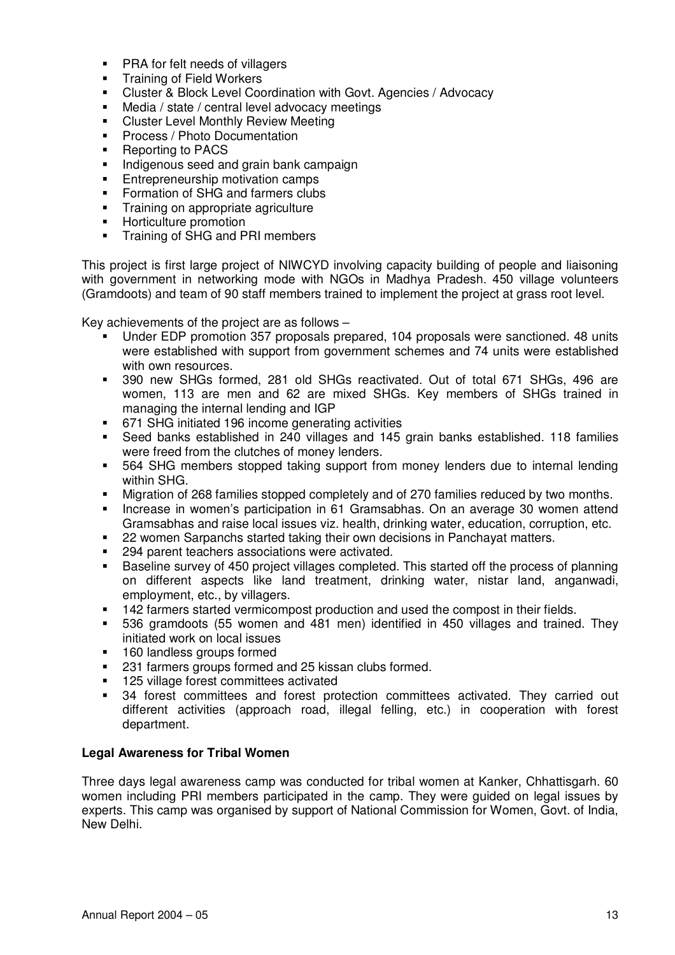- **PRA for felt needs of villagers**
- **Training of Field Workers**
- Cluster & Block Level Coordination with Govt. Agencies / Advocacy
- Media / state / central level advocacy meetings
- **EXEC** Cluster Level Monthly Review Meeting
- **Process / Photo Documentation**
- Reporting to PACS
- **Indigenous seed and grain bank campaign**
- **Entrepreneurship motivation camps**<br>Enterprise of SHG and farmers clubs
- Formation of SHG and farmers clubs
- **Training on appropriate agriculture**
- **Horticulture promotion**
- Training of SHG and PRI members

This project is first large project of NIWCYD involving capacity building of people and liaisoning with government in networking mode with NGOs in Madhya Pradesh. 450 village volunteers (Gramdoots) and team of 90 staff members trained to implement the project at grass root level.

Key achievements of the project are as follows –

- Under EDP promotion 357 proposals prepared, 104 proposals were sanctioned. 48 units were established with support from government schemes and 74 units were established with own resources.
- 390 new SHGs formed, 281 old SHGs reactivated. Out of total 671 SHGs, 496 are women, 113 are men and 62 are mixed SHGs. Key members of SHGs trained in managing the internal lending and IGP
- 671 SHG initiated 196 income generating activities
- Seed banks established in 240 villages and 145 grain banks established. 118 families were freed from the clutches of money lenders.
- 564 SHG members stopped taking support from money lenders due to internal lending within SHG.
- Migration of 268 families stopped completely and of 270 families reduced by two months.
- Increase in women's participation in 61 Gramsabhas. On an average 30 women attend Gramsabhas and raise local issues viz. health, drinking water, education, corruption, etc.
- **22 women Sarpanchs started taking their own decisions in Panchayat matters.**
- 294 parent teachers associations were activated.
- Baseline survey of 450 project villages completed. This started off the process of planning on different aspects like land treatment, drinking water, nistar land, anganwadi, employment, etc., by villagers.
- 142 farmers started vermicompost production and used the compost in their fields.
- 536 gramdoots (55 women and 481 men) identified in 450 villages and trained. They initiated work on local issues
- **160 landless groups formed**
- 231 farmers groups formed and 25 kissan clubs formed.
- **125 village forest committees activated**
- 34 forest committees and forest protection committees activated. They carried out different activities (approach road, illegal felling, etc.) in cooperation with forest department.

## **Legal Awareness for Tribal Women**

Three days legal awareness camp was conducted for tribal women at Kanker, Chhattisgarh. 60 women including PRI members participated in the camp. They were guided on legal issues by experts. This camp was organised by support of National Commission for Women, Govt. of India, New Delhi.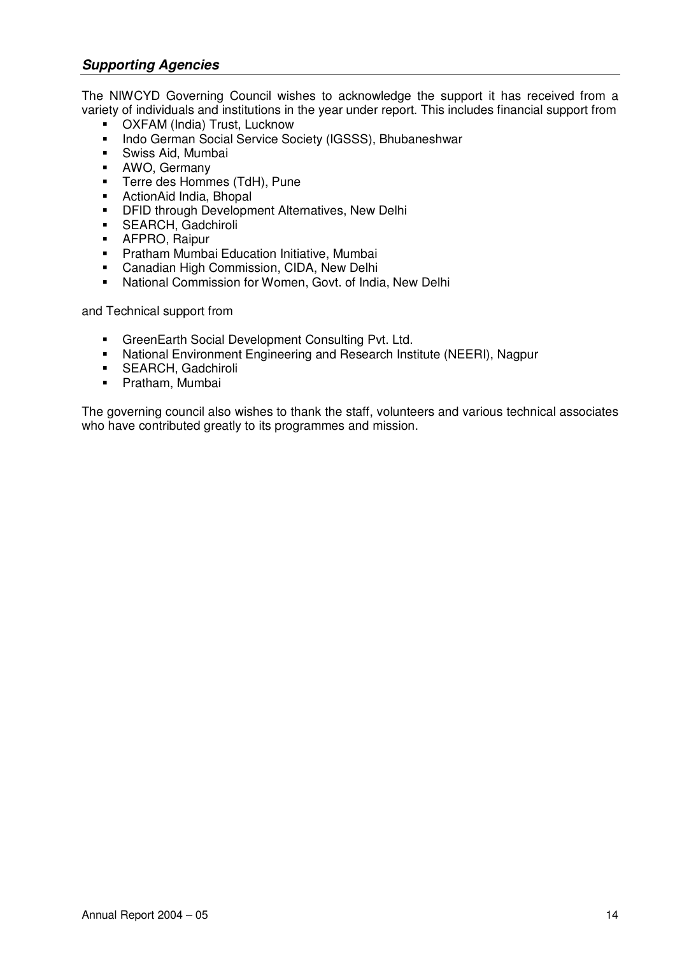# *Supporting Agencies*

The NIWCYD Governing Council wishes to acknowledge the support it has received from a variety of individuals and institutions in the year under report. This includes financial support from

- OXFAM (India) Trust, Lucknow
- Indo German Social Service Society (IGSSS), Bhubaneshwar
- Swiss Aid, Mumbai
- **AWO, Germany**
- **Terre des Hommes (TdH), Pune**
- ActionAid India, Bhopal
- **DFID through Development Alternatives, New Delhi**<br>**SEARCH** Gadchiroli
- SEARCH, Gadchiroli
- **-** AFPRO, Raipur
- **Pratham Mumbai Education Initiative, Mumbai**
- **Canadian High Commission, CIDA, New Delhi**<br> **E.** National Commission for Women, Goyt, of India
- National Commission for Women, Govt. of India, New Delhi

and Technical support from

- GreenEarth Social Development Consulting Pvt. Ltd.
- National Environment Engineering and Research Institute (NEERI), Nagpur
- **SEARCH, Gadchiroli**
- **•** Pratham, Mumbai

The governing council also wishes to thank the staff, volunteers and various technical associates who have contributed greatly to its programmes and mission.